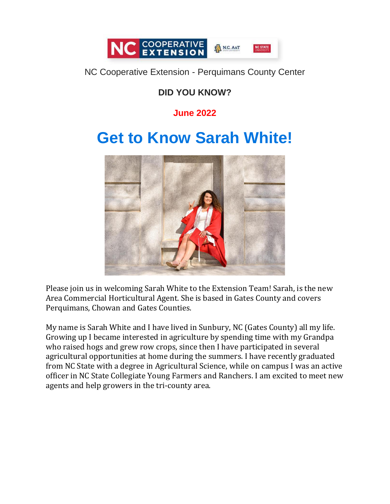

#### NC Cooperative Extension - Perquimans County Center

# **DID YOU KNOW?**

## **June 2022**

# **Get to Know Sarah White!**



Please join us in welcoming Sarah White to the Extension Team! Sarah, is the new Area Commercial Horticultural Agent. She is based in Gates County and covers Perquimans, Chowan and Gates Counties.

My name is Sarah White and I have lived in Sunbury, NC (Gates County) all my life. Growing up I became interested in agriculture by spending time with my Grandpa who raised hogs and grew row crops, since then I have participated in several agricultural opportunities at home during the summers. I have recently graduated from NC State with a degree in Agricultural Science, while on campus I was an active officer in NC State Collegiate Young Farmers and Ranchers. I am excited to meet new agents and help growers in the tri-county area.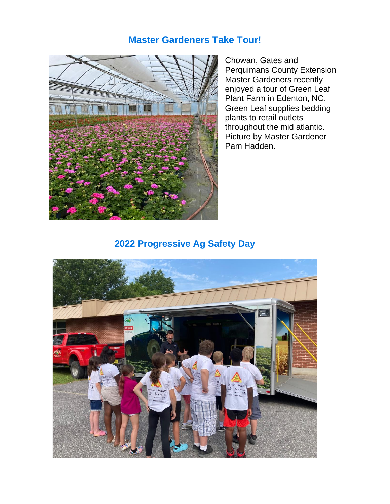### **Master Gardeners Take Tour!**



Chowan, Gates and Perquimans County Extension Master Gardeners recently enjoyed a tour of Green Leaf Plant Farm in Edenton, NC. Green Leaf supplies bedding plants to retail outlets throughout the mid atlantic. Picture by Master Gardener Pam Hadden.

### **2022 Progressive Ag Safety Day**